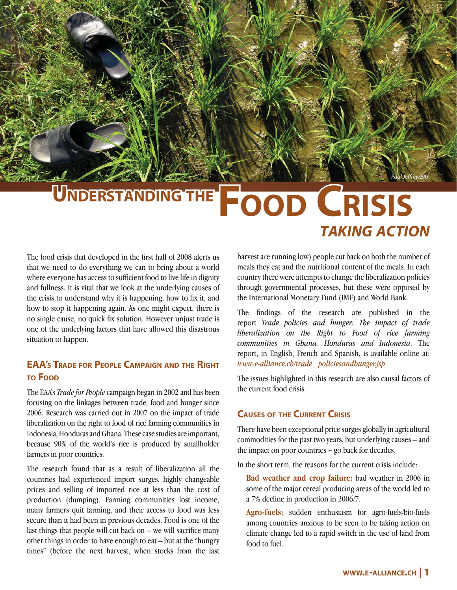# UNDERSTANDING THE **FOOD CRISIS** *TAKING ACTION*

The food crisis that developed in the first half of 2008 alerts us that we need to do everything we can to bring about a world where everyone has access to sufficient food to live life in dignity and fullness. It is vital that we look at the underlying causes of the crisis to understand why it is happening, how to fix it, and how to stop it happening again. As one might expect, there is no single cause, no quick fix solution. However unjust trade is one of the underlying factors that have allowed this disastrous situation to happen.

# **EAA'S TRADE FOR PEOPLE CAMPAIGN AND THE RIGHT TO FOOD**

The EAA's *Trade for People* campaign began in 2002 and has been focusing on the linkages between trade, food and hunger since 2006. Research was carried out in 2007 on the impact of trade liberalization on the right to food of rice farming communities in Indonesia, Honduras and Ghana. These case studies are important, because 90% of the world's rice is produced by smallholder farmers in poor countries.

The research found that as a result of liberalization all the countries had experienced import surges, highly changeable prices and selling of imported rice at less than the cost of production (dumping). Farming communities lost income, many farmers quit farming, and their access to food was less secure than it had been in previous decades. Food is one of the last things that people will cut back on  $-$  we will sacrifice many other things in order to have enough to eat – but at the "hungry times" (before the next harvest, when stocks from the last

harvest are running low) people cut back on both the number of meals they eat and the nutritional content of the meals. In each country there were attempts to change the liberalization policies through governmental processes, but these were opposed by the International Monetary Fund (IMF) and World Bank.

Paul Jeffrev/EAA

The findings of the research are published in the report *Trade policies and hunger: The impact of trade liberalization on the Right to Food of rice farming communities in Ghana, Honduras and Indonesia*. The report, in English, French and Spanish, is available online at: *www.e-alliance.ch/trade\_ policiesandhunger.jsp*

The issues highlighted in this research are also causal factors of the current food crisis.

## **CAUSES OF THE CURRENT CRISIS**

There have been exceptional price surges globally in agricultural commodities for the past two years, but underlying causes – and the impact on poor countries -- go back for decades.

In the short term, the reasons for the current crisis include:

**Bad weather and crop failure:** bad weather in 2006 in some of the major cereal producing areas of the world led to a 7% decline in production in 2006/7.

**Agro-fuels:** sudden enthusiasm for agro-fuels/bio-fuels among countries anxious to be seen to be taking action on climate change led to a rapid switch in the use of land from food to fuel.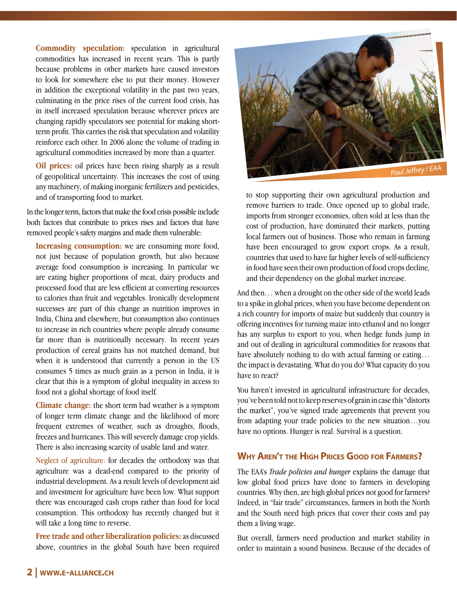**Commodity speculation:** speculation in agricultural commodities has increased in recent years. This is partly because problems in other markets have caused investors to look for somewhere else to put their money. However in addition the exceptional volatility in the past two years, culminating in the price rises of the current food crisis, has in itself increased speculation because wherever prices are changing rapidly speculators see potential for making shortterm profit. This carries the risk that speculation and volatility reinforce each other. In 2006 alone the volume of trading in agricultural commodities increased by more than a quarter.

**Oil prices:** oil prices have been rising sharply as a result of geopolitical uncertainty. This increases the cost of using any machinery, of making inorganic fertilizers and pesticides, and of transporting food to market.

In the longer term, factors that make the food crisis possible include both factors that contribute to prices rises and factors that have removed people's safety margins and made them vulnerable:

**Increasing consumption:** we are consuming more food, not just because of population growth, but also because average food consumption is increasing. In particular we are eating higher proportions of meat, dairy products and processed food that are less efficient at converting resources to calories than fruit and vegetables. Ironically development successes are part of this change as nutrition improves in India, China and elsewhere, but consumption also continues to increase in rich countries where people already consume far more than is nutritionally necessary. In recent years production of cereal grains has not matched demand, but when it is understood that currently a person in the US consumes 5 times as much grain as a person in India, it is clear that this is a symptom of global inequality in access to food not a global shortage of food itself.

**Climate change:** the short term bad weather is a symptom of longer term climate change and the likelihood of more frequent extremes of weather, such as droughts, floods, freezes and hurricanes. This will severely damage crop yields. There is also increasing scarcity of usable land and water.

Neglect of agriculture: for decades the orthodoxy was that agriculture was a dead-end compared to the priority of industrial development. As a result levels of development aid and investment for agriculture have been low. What support there was encouraged cash crops rather than food for local consumption. This orthodoxy has recently changed but it will take a long time to reverse.

**Free trade and other liberalization policies:** as discussed above, countries in the global South have been required



to stop supporting their own agricultural production and remove barriers to trade. Once opened up to global trade, imports from stronger economies, often sold at less than the cost of production, have dominated their markets, putting local farmers out of business. Those who remain in farming have been encouraged to grow export crops. As a result, countries that used to have far higher levels of self-sufficiency in food have seen their own production of food crops decline, and their dependency on the global market increase.

And then… when a drought on the other side of the world leads to a spike in global prices, when you have become dependent on a rich country for imports of maize but suddenly that country is offering incentives for turning maize into ethanol and no longer has any surplus to export to you, when hedge funds jump in and out of dealing in agricultural commodities for reasons that have absolutely nothing to do with actual farming or eating... the impact is devastating. What do you do? What capacity do you have to react?

You haven't invested in agricultural infrastructure for decades, you've been told not to keep reserves of grain in case this "distorts the market", you've signed trade agreements that prevent you from adapting your trade policies to the new situation…you have no options. Hunger is real. Survival is a question.

## **WHY AREN'T THE HIGH PRICES GOOD FOR FARMERS?**

The EAA's *Trade policies and hunger* explains the damage that low global food prices have done to farmers in developing countries. Why then, are high global prices not good for farmers? Indeed, in "fair trade" circumstances, farmers in both the North and the South need high prices that cover their costs and pay them a living wage.

But overall, farmers need production and market stability in order to maintain a sound business. Because of the decades of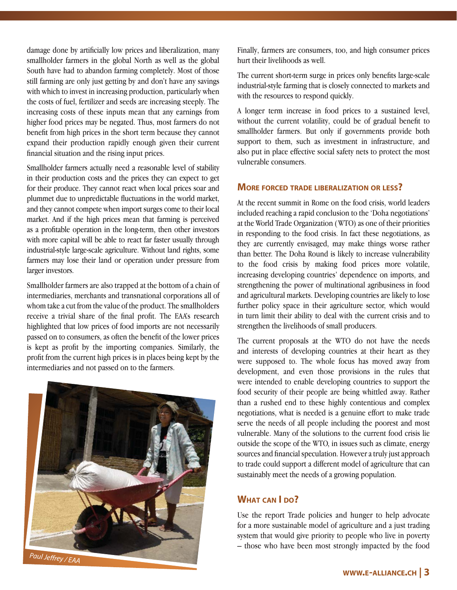damage done by artificially low prices and liberalization, many smallholder farmers in the global North as well as the global South have had to abandon farming completely. Most of those still farming are only just getting by and don't have any savings with which to invest in increasing production, particularly when the costs of fuel, fertilizer and seeds are increasing steeply. The increasing costs of these inputs mean that any earnings from higher food prices may be negated. Thus, most farmers do not benefit from high prices in the short term because they cannot expand their production rapidly enough given their current financial situation and the rising input prices.

Smallholder farmers actually need a reasonable level of stability in their production costs and the prices they can expect to get for their produce. They cannot react when local prices soar and plummet due to unpredictable fluctuations in the world market, and they cannot compete when import surges come to their local market. And if the high prices mean that farming is perceived as a profitable operation in the long-term, then other investors with more capital will be able to react far faster usually through industrial-style large-scale agriculture. Without land rights, some farmers may lose their land or operation under pressure from larger investors.

Smallholder farmers are also trapped at the bottom of a chain of intermediaries, merchants and transnational corporations all of whom take a cut from the value of the product. The smallholders receive a trivial share of the final profit. The EAA's research highlighted that low prices of food imports are not necessarily passed on to consumers, as often the benefit of the lower prices is kept as profit by the importing companies. Similarly, the profit from the current high prices is in places being kept by the intermediaries and not passed on to the farmers.



Finally, farmers are consumers, too, and high consumer prices hurt their livelihoods as well.

The current short-term surge in prices only benefits large-scale industrial-style farming that is closely connected to markets and with the resources to respond quickly.

A longer term increase in food prices to a sustained level, without the current volatility, could be of gradual benefit to smallholder farmers. But only if governments provide both support to them, such as investment in infrastructure, and also put in place effective social safety nets to protect the most vulnerable consumers.

#### **MORE FORCED TRADE LIBERALIZATION OR LESS?**

At the recent summit in Rome on the food crisis, world leaders included reaching a rapid conclusion to the 'Doha negotiations' at the World Trade Organization (WTO) as one of their priorities in responding to the food crisis. In fact these negotiations, as they are currently envisaged, may make things worse rather than better. The Doha Round is likely to increase vulnerability to the food crisis by making food prices more volatile, increasing developing countries' dependence on imports, and strengthening the power of multinational agribusiness in food and agricultural markets. Developing countries are likely to lose further policy space in their agriculture sector, which would in turn limit their ability to deal with the current crisis and to strengthen the livelihoods of small producers.

The current proposals at the WTO do not have the needs and interests of developing countries at their heart as they were supposed to. The whole focus has moved away from development, and even those provisions in the rules that were intended to enable developing countries to support the food security of their people are being whittled away. Rather than a rushed end to these highly contentious and complex negotiations, what is needed is a genuine effort to make trade serve the needs of all people including the poorest and most vulnerable. Many of the solutions to the current food crisis lie outside the scope of the WTO, in issues such as climate, energy sources and financial speculation. However a truly just approach to trade could support a different model of agriculture that can sustainably meet the needs of a growing population.

### **WHAT CAN I DO?**

Use the report Trade policies and hunger to help advocate for a more sustainable model of agriculture and a just trading system that would give priority to people who live in poverty – those who have been most strongly impacted by the food